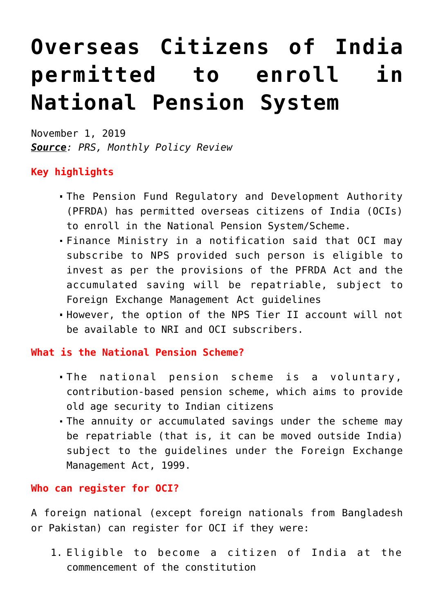## **[Overseas Citizens of India](https://journalsofindia.com/overseas-citizens-of-india-permitted-to-enroll-in-national-pension-system/) [permitted to enroll in](https://journalsofindia.com/overseas-citizens-of-india-permitted-to-enroll-in-national-pension-system/) [National Pension System](https://journalsofindia.com/overseas-citizens-of-india-permitted-to-enroll-in-national-pension-system/)**

November 1, 2019 *Source: PRS, Monthly Policy Review*

## **Key highlights**

- The Pension Fund Regulatory and Development Authority (PFRDA) has permitted overseas citizens of India (OCIs) to enroll in the National Pension System/Scheme.
- Finance Ministry in a notification said that OCI may subscribe to NPS provided such person is eligible to invest as per the provisions of the PFRDA Act and the accumulated saving will be repatriable, subject to Foreign Exchange Management Act guidelines
- However, the option of the NPS Tier II account will not be available to NRI and OCI subscribers.

## **What is the National Pension Scheme?**

- The national pension scheme is a voluntary, contribution-based pension scheme, which aims to provide old age security to Indian citizens
- The annuity or accumulated savings under the scheme may be repatriable (that is, it can be moved outside India) subject to the guidelines under the Foreign Exchange Management Act, 1999.

## **Who can register for OCI?**

A foreign national (except foreign nationals from Bangladesh or Pakistan) can register for OCI if they were:

1. Eligible to become a citizen of India at the commencement of the constitution